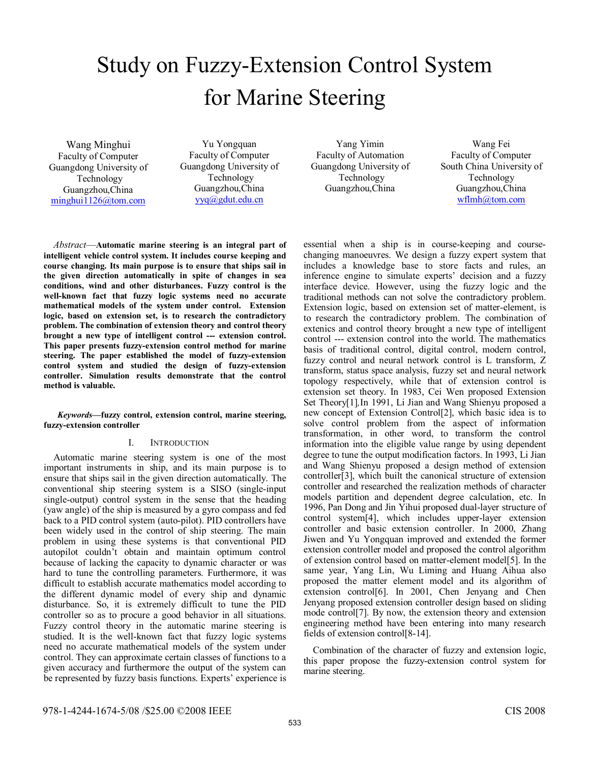# Study on Fuzzy-Extension Control System for Marine Steering

Wang Minghui Faculty of Computer Guangdong University of Technology Guangzhou,China minghui1126@tom.com

Yu Yongquan Faculty of Computer Guangdong University of Technology Guangzhou,China yyq@gdut.edu.cn

Yang Yimin Faculty of Automation Guangdong University of Technology Guangzhou,China

Wang Fei Faculty of Computer South China University of Technology Guangzhou,China wflmh@tom.com

*Abstract*—**Automatic marine steering is an integral part of intelligent vehicle control system. It includes course keeping and course changing. Its main purpose is to ensure that ships sail in the given direction automatically in spite of changes in sea conditions, wind and other disturbances. Fuzzy control is the well-known fact that fuzzy logic systems need no accurate mathematical models of the system under control. Extension logic, based on extension set, is to research the contradictory problem. The combination of extension theory and control theory brought a new type of intelligent control --- extension control. This paper presents fuzzy-extension control method for marine steering. The paper established the model of fuzzy-extension control system and studied the design of fuzzy-extension controller. Simulation results demonstrate that the control method is valuable.** 

### *Keywords—***fuzzy control, extension control, marine steering, fuzzy-extension controller**

## I. INTRODUCTION

Automatic marine steering system is one of the most important instruments in ship, and its main purpose is to ensure that ships sail in the given direction automatically. The conventional ship steering system is a SISO (single-input single-output) control system in the sense that the heading (yaw angle) of the ship is measured by a gyro compass and fed back to a PID control system (auto-pilot). PID controllers have been widely used in the control of ship steering. The main problem in using these systems is that conventional PID autopilot couldn't obtain and maintain optimum control because of lacking the capacity to dynamic character or was hard to tune the controlling parameters. Furthermore, it was difficult to establish accurate mathematics model according to the different dynamic model of every ship and dynamic disturbance. So, it is extremely difficult to tune the PID controller so as to procure a good behavior in all situations. Fuzzy control theory in the automatic marine steering is studied. It is the well-known fact that fuzzy logic systems need no accurate mathematical models of the system under control. They can approximate certain classes of functions to a given accuracy and furthermore the output of the system can be represented by fuzzy basis functions. Experts' experience is essential when a ship is in course-keeping and coursechanging manoeuvres. We design a fuzzy expert system that includes a knowledge base to store facts and rules, an inference engine to simulate experts' decision and a fuzzy interface device. However, using the fuzzy logic and the traditional methods can not solve the contradictory problem. Extension logic, based on extension set of matter-element, is to research the contradictory problem. The combination of extenics and control theory brought a new type of intelligent control --- extension control into the world. The mathematics basis of traditional control, digital control, modern control, fuzzy control and neural network control is L transform, Z transform, status space analysis, fuzzy set and neural network topology respectively, while that of extension control is extension set theory. In 1983, Cei Wen proposed Extension Set Theory[1]*,*In 1991, Li Jian and Wang Shienyu proposed a new concept of Extension Control[2], which basic idea is to solve control problem from the aspect of information transformation, in other word, to transform the control information into the eligible value range by using dependent degree to tune the output modification factors. In 1993, Li Jian and Wang Shienyu proposed a design method of extension controller[3], which built the canonical structure of extension controller and researched the realization methods of character models partition and dependent degree calculation, etc. In 1996, Pan Dong and Jin Yihui proposed dual-layer structure of control system[4], which includes upper-layer extension controller and basic extension controller. In 2000, Zhang Jiwen and Yu Yongquan improved and extended the former extension controller model and proposed the control algorithm of extension control based on matter-element model[5]. In the same year, Yang Lin, Wu Liming and Huang Aihua also proposed the matter element model and its algorithm of extension control[6]. In 2001, Chen Jenyang and Chen Jenyang proposed extension controller design based on sliding mode control[7]. By now, the extension theory and extension engineering method have been entering into many research fields of extension control[8-14].

Combination of the character of fuzzy and extension logic, this paper propose the fuzzy-extension control system for marine steering.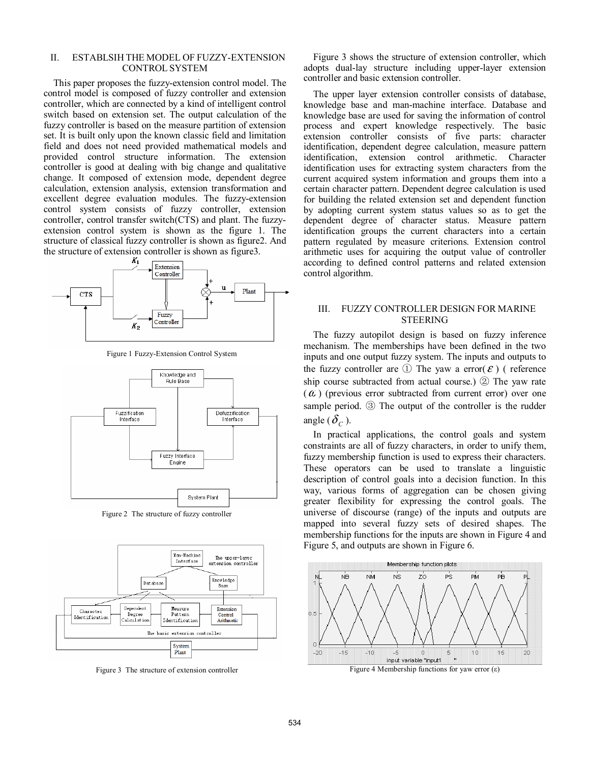## II. ESTABLSIH THE MODEL OF FUZZY-EXTENSION CONTROL SYSTEM

This paper proposes the fuzzy-extension control model. The control model is composed of fuzzy controller and extension controller, which are connected by a kind of intelligent control switch based on extension set. The output calculation of the fuzzy controller is based on the measure partition of extension set. It is built only upon the known classic field and limitation field and does not need provided mathematical models and provided control structure information. The extension controller is good at dealing with big change and qualitative change. It composed of extension mode, dependent degree calculation, extension analysis, extension transformation and excellent degree evaluation modules. The fuzzy-extension control system consists of fuzzy controller, extension controller, control transfer switch(CTS) and plant. The fuzzyextension control system is shown as the figure 1. The structure of classical fuzzy controller is shown as figure2. And the structure of extension controller is shown as figure 3.



Figure 1 Fuzzy-Extension Control System



Figure 2 The structure of fuzzy controller



Figure 3 The structure of extension controller

Figure 3 shows the structure of extension controller, which adopts dual-lay structure including upper-layer extension controller and basic extension controller.

The upper layer extension controller consists of database. knowledge base and man-machine interface. Database and knowledge base are used for saving the information of control process and expert knowledge respectively. The basic extension controller consists of five parts: character identification, dependent degree calculation, measure pattern identification, extension control arithmetic. Character identification uses for extracting system characters from the current acquired system information and groups them into a certain character pattern. Dependent degree calculation is used for building the related extension set and dependent function by adopting current system status values so as to get the dependent degree of character status. Measure pattern identification groups the current characters into a certain pattern regulated by measure criterions. Extension control arithmetic uses for acquiring the output value of controller according to defined control patterns and related extension control algorithm.

## III. FUZZY CONTROLLER DESIGN FOR MARINE STEERING

The fuzzy autopilot design is based on fuzzy inference mechanism. The memberships have been defined in the two inputs and one output fuzzy system. The inputs and outputs to the fuzzy controller are  $(1)$  The yaw a error( $\varepsilon$ ) ( reference ship course subtracted from actual course.) ② The yaw rate  $(a)$  (previous error subtracted from current error) over one sample period. ③ The output of the controller is the rudder angle  $(\delta_c)$ .

In practical applications, the control goals and system constraints are all of fuzzy characters, in order to unify them, fuzzy membership function is used to express their characters. These operators can be used to translate a linguistic description of control goals into a decision function. In this way, various forms of aggregation can be chosen giving greater flexibility for expressing the control goals. The universe of discourse (range) of the inputs and outputs are mapped into several fuzzy sets of desired shapes. The membership functions for the inputs are shown in Figure 4 and Figure 5, and outputs are shown in Figure 6.



Figure 4 Membership functions for yaw error  $(ε)$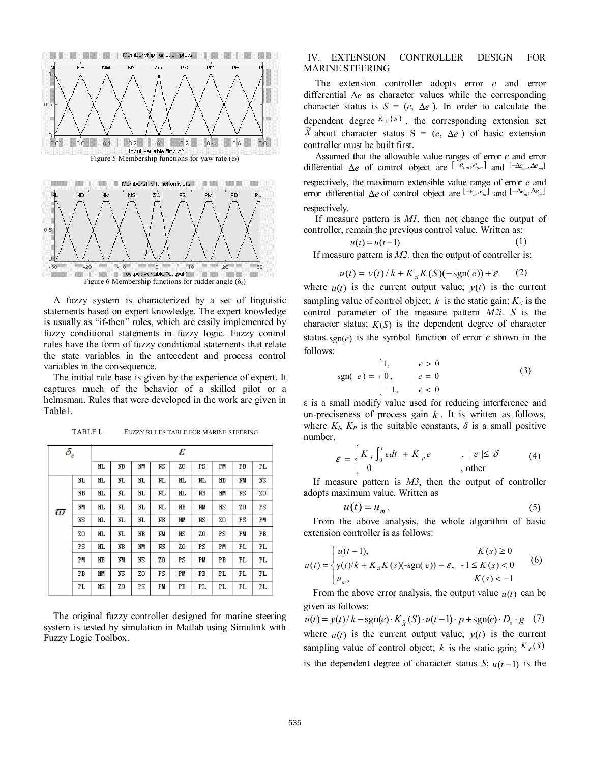

A fuzzy system is characterized by a set of linguistic statements based on expert knowledge. The expert knowledge is usually as "if-then" rules, which are easily implemented by fuzzy conditional statements in fuzzy logic. Fuzzy control rules have the form of fuzzy conditional statements that relate the state variables in the antecedent and process control variables in the consequence.

The initial rule base is given by the experience of expert. It captures much of the behavior of a skilled pilot or a helmsman. Rules that were developed in the work are given in Table1.

| $\delta_{\scriptscriptstyle e}$ |     | ε    |      |     |    |     |     |     |     |     |
|---------------------------------|-----|------|------|-----|----|-----|-----|-----|-----|-----|
|                                 |     | IІ   | NB   | NM  | NS | Z0  | PS  | PM  | PB  | PL. |
| $\varpi$                        | NL. | IIL. | IIL. | NL. | NL | NL. | NL. | NB  | ΝM  | ΝS  |
|                                 | NB  | NL.  | NL.  | NL. | NL | NL. | NB  | ΝM  | ΝS  | Z0  |
|                                 | NΜ  | lΠ.  | NL.  | NL. | NL | NB  | ΝM  | ΝS  | Z0  | PS  |
|                                 | ΝS  | IIL. | NΤ.  | NL. | NB | NM  | ΝS  | Z0  | PS  | PM  |
|                                 | Z0  | NΤ.  | IIL. | NB  | NM | ΝS  | Z0  | PS  | PM  | PB  |
|                                 | PS  | IIL. | NВ   | NM  | NS | Z0  | PS  | PM  | PL. | PL. |
|                                 | PM  | NB   | ΝM   | ΝS  | Z0 | PS  | PM  | PB  | PL  | PL. |
|                                 | PB  | lM   | NS   | Z0  | PS | PM  | PB  | PL. | PL. | PL  |
|                                 | PL  | NS   | ZO   | PS  | PM | PB  | PL  | PL. | PL. | PL. |

TABLE I. FUZZY RULES TABLE FOR MARINE STEERING

The original fuzzy controller designed for marine steering system is tested by simulation in Matlab using Simulink with Fuzzy Logic Toolbox.

## IV. EXTENSION CONTROLLER DESIGN FOR MARINE STEERING

The extension controller adopts error *e* and error differential ∆*e* as character values while the corresponding character status is  $S = (e, \Delta e)$ . In order to calculate the dependent degree  $K_{\bar{x}}(S)$ , the corresponding extension set  $\tilde{X}$  about character status S = (*e*,  $\Delta e$ ) of basic extension controller must be built first.

Assumed that the allowable value ranges of error *e* and error differential  $\Delta e$  of control object are  $\left[ -e_{\text{om}} , e_{\text{om}} \right]$  and  $\left[ -\Delta e_{\text{om}} , \Delta e_{\text{om}} \right]$ respectively, the maximum extensible value range of error *e* and error differential  $\Delta e$  of control object are  $[-e_m, e_m]$  and  $[-\Delta e_m, \Delta e_m]$ respectively.

If measure pattern is *M1*, then not change the output of controller, remain the previous control value. Written as:

$$
u(t) = u(t-1) \tag{1}
$$

If measure pattern is *M2,* then the output of controller is:

$$
u(t) = y(t)/k + K_{ci}K(S)(-\text{sgn}(e)) + \varepsilon \qquad (2)
$$

where  $u(t)$  is the current output value;  $y(t)$  is the current sampling value of control object;  $k$  is the static gain;  $K_{ci}$  is the control parameter of the measure pattern *M2i*. *S* is the character status;  $K(S)$  is the dependent degree of character status.sgn(*e*) is the symbol function of error *e* shown in the follows:

sgn(
$$
e
$$
) = 
$$
\begin{cases} 1, & e > 0 \\ 0, & e = 0 \\ -1, & e < 0 \end{cases}
$$
 (3)

ε is a small modify value used for reducing interference and un-preciseness of process gain  $k$ . It is written as follows, where  $K_I$ ,  $K_P$  is the suitable constants,  $\delta$  is a small positive number.

$$
\varepsilon = \begin{cases} K_{\iota} \int_0^t e dt + K_{\rho} e & , |e| \le \delta \\ 0 & , \text{other} \end{cases}
$$
 (4)

If measure pattern is *M3*, then the output of controller adopts maximum value. Written as

$$
u(t) = u_m. \tag{5}
$$

From the above analysis, the whole algorithm of basic extension controller is as follows:

$$
u(t) = \begin{cases} u(t-1), & K(s) \ge 0 \\ y(t)/k + K_{ci}K(s)(\text{-sgn}(e)) + \varepsilon, & -1 \le K(s) < 0 \\ u_m, & K(s) < -1 \end{cases}
$$
 (6)

From the above error analysis, the output value  $u(t)$  can be given as follows:

 $u(t) = y(t)/k - \text{sgn}(e) \cdot K_{\tilde{X}}(S) \cdot u(t-1) \cdot p + \text{sgn}(e) \cdot D_s \cdot g$  (7) where  $u(t)$  is the current output value;  $y(t)$  is the current sampling value of control object; *k* is the static gain;  $K_{\tilde{X}}(S)$ is the dependent degree of character status *S*;  $u(t-1)$  is the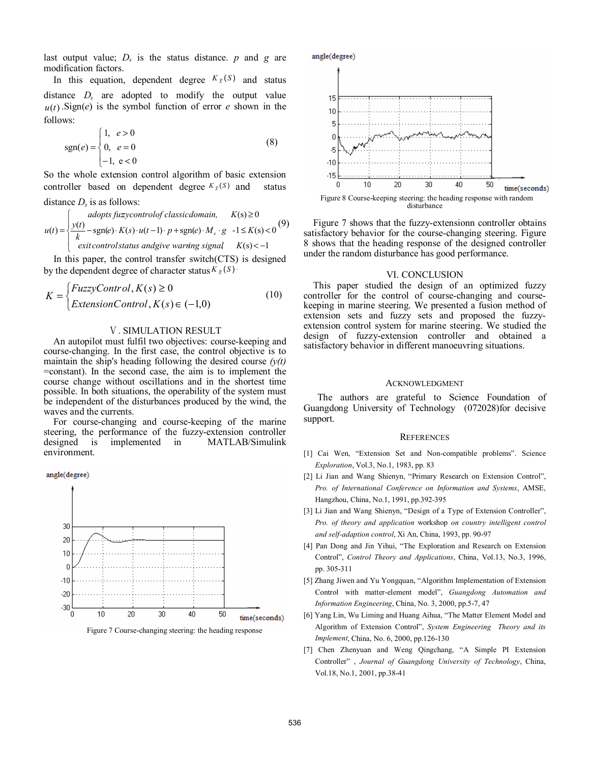last output value;  $D<sub>s</sub>$  is the status distance.  $p$  and  $q$  are modification factors.

In this equation, dependent degree  $K_{\tilde{X}}(S)$  and status distance *Ds* are adopted to modify the output value  $u(t)$ . Sign(*e*) is the symbol function of error *e* shown in the follows:

$$
sgn(e) = \begin{cases} 1, & e > 0 \\ 0, & e = 0 \\ -1, & e < 0 \end{cases}
$$
 (8)

So the whole extension control algorithm of basic extension controller based on dependent degree  $K_{\tilde{X}}(S)$  and status

## distance  $D<sub>s</sub>$  is as follows:

$$
u(t) = \begin{cases} \n\text{adopts fuzzy control of classicalomain,} & K(s) \ge 0\\ \n\frac{y(t)}{k} - \text{sgn}(e) \cdot K(s) \cdot u(t-1) \cdot p + \text{sgn}(e) \cdot M_s \cdot g & -1 \le K(s) < 0\\ \n\text{exit controls} \ntaus \text{ and give warning signal} & K(s) < -1 \n\end{cases} \tag{9}
$$

 In this paper, the control transfer switch(CTS) is designed by the dependent degree of character status  $K_{\tilde{X}}(S)$ 

$$
K = \begin{cases} FuzzyControl, K(s) \ge 0\\ ExtensionControl, K(s) \in (-1,0) \end{cases}
$$
 (10)

## Ⅴ. SIMULATION RESULT

An autopilot must fulfil two objectives: course-keeping and course-changing. In the first case, the control objective is to maintain the ship's heading following the desired course  $(y(t))$ =constant). In the second case, the aim is to implement the course change without oscillations and in the shortest time possible. In both situations, the operability of the system must be independent of the disturbances produced by the wind, the waves and the currents.

For course-changing and course-keeping of the marine steering, the performance of the fuzzy-extension controller designed is implemented in MATLAB/Simulink environment.

angle(degree)



Figure 7 Course-changing steering: the heading response



Figure 7 shows that the fuzzy-extensionn controller obtains satisfactory behavior for the course-changing steering. Figure 8 shows that the heading response of the designed controller under the random disturbance has good performance.

## VI. CONCLUSION

This paper studied the design of an optimized fuzzy controller for the control of course-changing and coursekeeping in marine steering. We presented a fusion method of extension sets and fuzzy sets and proposed the fuzzyextension control system for marine steering. We studied the design of fuzzy-extension controller and obtained a satisfactory behavior in different manoeuvring situations.

#### ACKNOWLEDGMENT

The authors are grateful to Science Foundation of Guangdong University of Technology (072028)for decisive support.

#### **REFERENCES**

- [1] Cai Wen, "Extension Set and Non-compatible problems". Science *Exploration*, Vol.3, No.1, 1983, pp. 83
- [2] Li Jian and Wang Shienyn, "Primary Research on Extension Control", *Pro. of International Conference on Information and Systems*, AMSE, Hangzhou, China, No.1, 1991, pp.392-395
- [3] Li Jian and Wang Shienyn, "Design of a Type of Extension Controller", *Pro. of theory and application* workshop *on country intelligent control and self-adaption control*, Xi An, China, 1993, pp. 90-97
- [4] Pan Dong and Jin Yihui, "The Exploration and Research on Extension Control", *Control Theory and Applications*, China, Vol.13, No.3, 1996, pp. 305-311
- [5] Zhang Jiwen and Yu Yongquan, "Algorithm Implementation of Extension Control with matter-element model", *Guangdong Automation and Information Engineering*, China, No. 3, 2000, pp.5-7, 47
- [6] Yang Lin, Wu Liming and Huang Aihua, "The Matter Element Model and Algorithm of Extension Control", *System Engineering Theory and its Implement*, China, No. 6, 2000, pp.126-130
- [7] Chen Zhenyuan and Weng Qingchang, "A Simple PI Extension Controller" , *Journal of Guangdong University of Technology*, China, Vol.18, No.1, 2001, pp.38-41